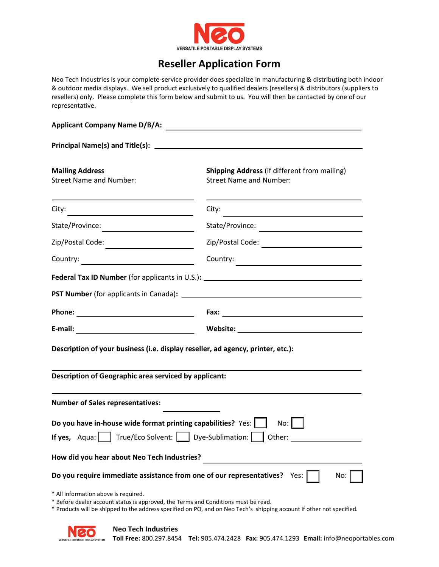

## **Reseller Application Form**

Neo Tech Industries is your complete-service provider does specialize in manufacturing & distributing both indoor & outdoor media displays. We sell product exclusively to qualified dealers (resellers) & distributors (suppliers to resellers) only. Please complete this form below and submit to us. You will then be contacted by one of our representative.

| <b>Applicant Company Name D/B/A:</b>                                                                                       |                 |  |
|----------------------------------------------------------------------------------------------------------------------------|-----------------|--|
|                                                                                                                            |                 |  |
| City:<br><u> 1980 - Andrea Station Books, amerikansk politik (</u>                                                         | City:           |  |
|                                                                                                                            | State/Province: |  |
|                                                                                                                            |                 |  |
|                                                                                                                            |                 |  |
|                                                                                                                            |                 |  |
|                                                                                                                            |                 |  |
|                                                                                                                            |                 |  |
| <u> 1980 - Johann Barbara, martin a</u><br>E-mail:                                                                         |                 |  |
| Description of your business (i.e. display reseller, ad agency, printer, etc.):                                            |                 |  |
| Description of Geographic area serviced by applicant:                                                                      |                 |  |
| <b>Number of Sales representatives:</b>                                                                                    |                 |  |
| Do you have in-house wide format printing capabilities? Yes:                                                               | No:             |  |
| <b>If yes,</b> Aqua: $\vert$ True/Eco Solvent: $\vert$ Dye-Sublimation:                                                    | Other:          |  |
| How did you hear about Neo Tech Industries?                                                                                |                 |  |
| Do you require immediate assistance from one of our representatives?                                                       | No:<br>Yes:     |  |
| * All information above is required.<br>* Before dealer account status is approved, the Terms and Conditions must be read. |                 |  |

\* Products will be shipped to the address specified on PO, and on Neo Tech's shipping account if other not specified.



**Toll Free:** 800.297.8454 **Tel:** 905.474.2428 **Fax:** 905.474.1293 **Email:** info@neoportables.com